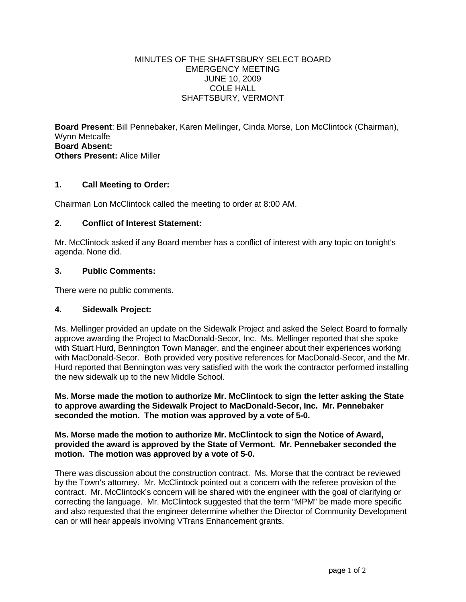#### MINUTES OF THE SHAFTSBURY SELECT BOARD EMERGENCY MEETING JUNE 10, 2009 COLE HALL SHAFTSBURY, VERMONT

**Board Present**: Bill Pennebaker, Karen Mellinger, Cinda Morse, Lon McClintock (Chairman), Wynn Metcalfe **Board Absent: Others Present:** Alice Miller

## **1. Call Meeting to Order:**

Chairman Lon McClintock called the meeting to order at 8:00 AM.

## **2. Conflict of Interest Statement:**

Mr. McClintock asked if any Board member has a conflict of interest with any topic on tonight's agenda. None did.

## **3. Public Comments:**

There were no public comments.

## **4. Sidewalk Project:**

Ms. Mellinger provided an update on the Sidewalk Project and asked the Select Board to formally approve awarding the Project to MacDonald-Secor, Inc. Ms. Mellinger reported that she spoke with Stuart Hurd, Bennington Town Manager, and the engineer about their experiences working with MacDonald-Secor. Both provided very positive references for MacDonald-Secor, and the Mr. Hurd reported that Bennington was very satisfied with the work the contractor performed installing the new sidewalk up to the new Middle School.

**Ms. Morse made the motion to authorize Mr. McClintock to sign the letter asking the State to approve awarding the Sidewalk Project to MacDonald-Secor, Inc. Mr. Pennebaker seconded the motion. The motion was approved by a vote of 5-0.**

**Ms. Morse made the motion to authorize Mr. McClintock to sign the Notice of Award, provided the award is approved by the State of Vermont. Mr. Pennebaker seconded the motion. The motion was approved by a vote of 5-0.**

There was discussion about the construction contract. Ms. Morse that the contract be reviewed by the Town's attorney. Mr. McClintock pointed out a concern with the referee provision of the contract. Mr. McClintock's concern will be shared with the engineer with the goal of clarifying or correcting the language. Mr. McClintock suggested that the term "MPM" be made more specific and also requested that the engineer determine whether the Director of Community Development can or will hear appeals involving VTrans Enhancement grants.